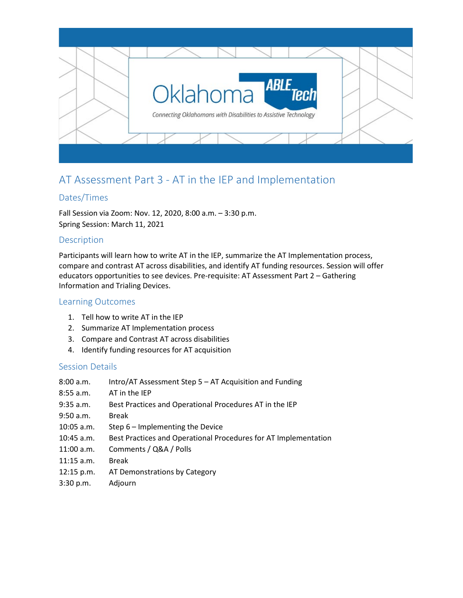

# AT Assessment Part 3 - AT in the IEP and Implementation

# Dates/Times

Fall Session via Zoom: Nov. 12, 2020, 8:00 a.m. – 3:30 p.m. Spring Session: March 11, 2021

#### Description

Participants will learn how to write AT in the IEP, summarize the AT Implementation process, compare and contrast AT across disabilities, and identify AT funding resources. Session will offer educators opportunities to see devices. Pre-requisite: AT Assessment Part 2 – Gathering Information and Trialing Devices.

#### Learning Outcomes

- 1. Tell how to write AT in the IEP
- 2. Summarize AT Implementation process
- 3. Compare and Contrast AT across disabilities
- 4. Identify funding resources for AT acquisition

#### Session Details

| 8:00 a.m.    | Intro/AT Assessment Step 5 - AT Acquisition and Funding         |
|--------------|-----------------------------------------------------------------|
| $8:55$ a.m.  | AT in the IEP                                                   |
| $9:35$ a.m.  | Best Practices and Operational Procedures AT in the IEP         |
| 9:50 a.m.    | <b>Break</b>                                                    |
| $10:05$ a.m. | Step 6 - Implementing the Device                                |
| $10:45$ a.m. | Best Practices and Operational Procedures for AT Implementation |
| $11:00$ a.m. | Comments / Q&A / Polls                                          |
| $11:15$ a.m. | <b>Break</b>                                                    |
| 12:15 p.m.   | AT Demonstrations by Category                                   |
| 3:30 p.m.    | Adjourn                                                         |